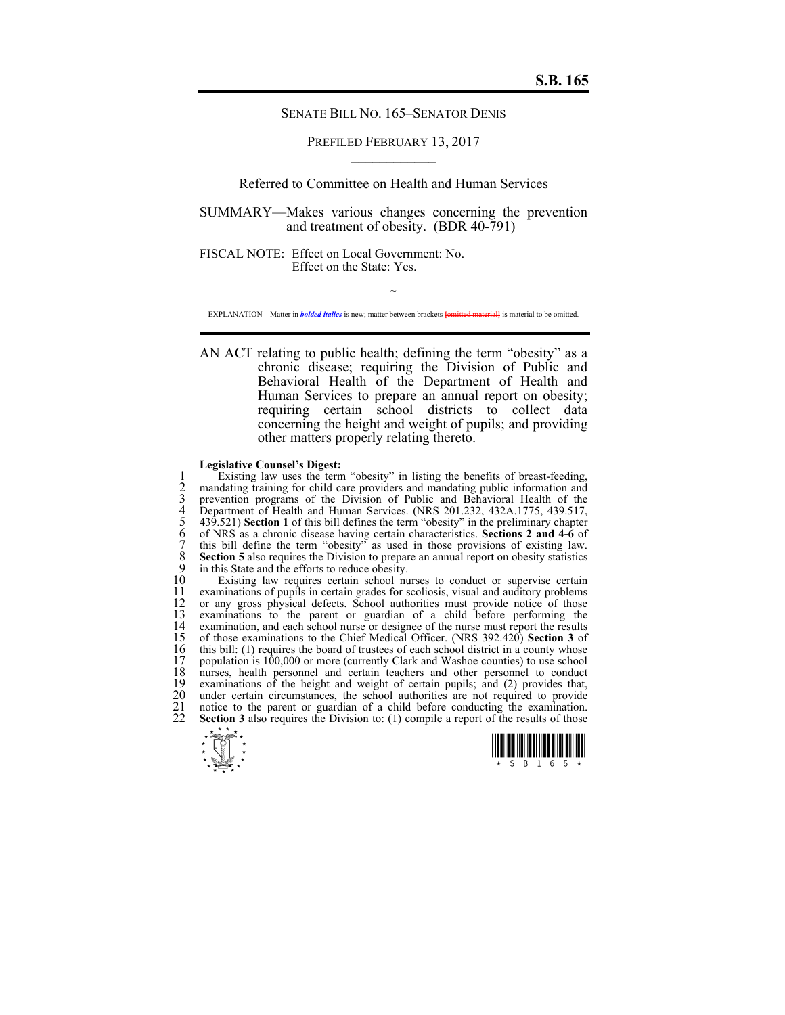### SENATE BILL NO. 165–SENATOR DENIS

# PREFILED FEBRUARY 13, 2017  $\mathcal{L}_\text{max}$

# Referred to Committee on Health and Human Services

SUMMARY—Makes various changes concerning the prevention and treatment of obesity. (BDR 40-791)

FISCAL NOTE: Effect on Local Government: No. Effect on the State: Yes.

~ EXPLANATION – Matter in *bolded italics* is new; matter between brackets **[**omitted material**]** is material to be omitted.

AN ACT relating to public health; defining the term "obesity" as a chronic disease; requiring the Division of Public and Behavioral Health of the Department of Health and Human Services to prepare an annual report on obesity; requiring certain school districts to collect data concerning the height and weight of pupils; and providing other matters properly relating thereto.

#### **Legislative Counsel's Digest:**

Existing law uses the term "obesity" in listing the benefits of breast-feeding,<br>
2 mandating training for child care providers and mandating public information and<br>
3 prevention programs of the Division of Public and Behav mandating training for child care providers and mandating public information and prevention programs of the Division of Public and Behavioral Health of the Department of Health and Human Services. (NRS 201.232, 432A.1775, 439.517, 5 439.521) **Section 1** of this bill defines the term "obesity" in the preliminary chapter 6 of NRS as a chronic disease having certain characteristics. **Sections 2 and 4-6** of this bill define the term "obesity" as used in those provisions of existing law. 8 **Section 5** also requires the Division to prepare an annual report on obesity statistics 9 in this State and the efforts to reduce obesity. 9 in this State and the efforts to reduce obesity.<br>10 Existing law requires certain school nu

10 Existing law requires certain school nurses to conduct or supervise certain 11 examinations of pupils in certain grades for scoliosis, visual and auditory problems 11 examinations of pupils in certain grades for scoliosis, visual and auditory problems 12 or any gross physical defects. School authorities must provide notice of those 12 or any gross physical defects. School authorities must provide notice of those examinations to the parent or guardian of a child before performing the 13 examinations to the parent or guardian of a child before performing the 14 examination, and each school nurse or designee of the nurse must report the results<br>15 of those examinations to the Chief Medical Officer. (NRS 392.420) Section 3 of 15 of those examinations to the Chief Medical Officer. (NRS 392.420) **Section 3** of 16 this bill: (1) requires the board of trustees of each school district in a county whose population is 100,000 or more (currently Clark and Washoe counties) to use school 17 population is 100,000 or more (currently Clark and Washoe counties) to use school 18 nurses, health personnel and certain teachers and other personnel to conduct examinations of the height and weight of certain pupils; and (2) provides that, 19 examinations of the height and weight of certain pupils; and (2) provides that, 20 under certain circumstances, the school authorities are not required to provide<br>21 notice to the parent or guardian of a child before conducting the examination.<br>22 **Section 3** also requires the Division to: (1) compile notice to the parent or guardian of a child before conducting the examination. Section 3 also requires the Division to: (1) compile a report of the results of those



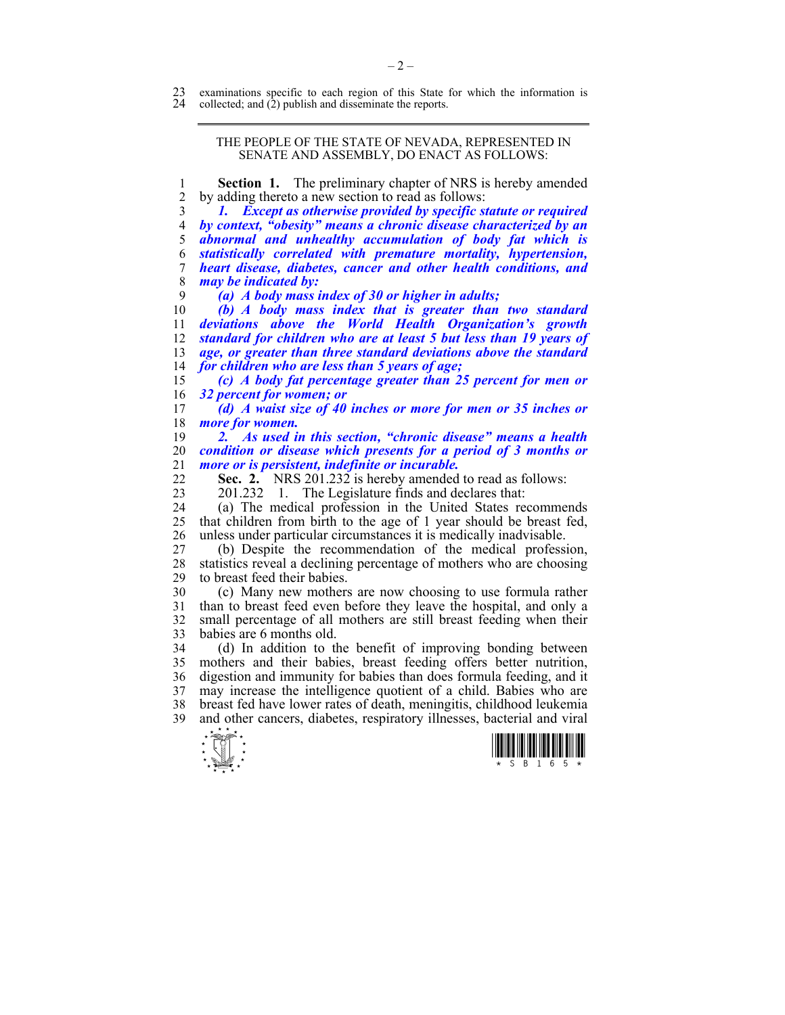### THE PEOPLE OF THE STATE OF NEVADA, REPRESENTED IN SENATE AND ASSEMBLY, DO ENACT AS FOLLOWS:

1 **Section 1.** The preliminary chapter of NRS is hereby amended 2 by adding thereto a new section to read as follows:

*1. Except as otherwise provided by specific statute or required by context, "obesity" means a chronic disease characterized by an abnormal and unhealthy accumulation of body fat which is statistically correlated with premature mortality, hypertension, heart disease, diabetes, cancer and other health conditions, and may be indicated by:* 

9 *(a) A body mass index of 30 or higher in adults;* 

*(b) A body mass index that is greater than two standard deviations above the World Health Organization's growth standard for children who are at least 5 but less than 19 years of age, or greater than three standard deviations above the standard for children who are less than 5 years of age;* 

15 *(c) A body fat percentage greater than 25 percent for men or*  16 *32 percent for women; or* 

17 *(d) A waist size of 40 inches or more for men or 35 inches or*  18 *more for women.* 

19 *2. As used in this section, "chronic disease" means a health*  20 *condition or disease which presents for a period of 3 months or*  21 *more or is persistent, indefinite or incurable.* 

Sec. 2. NRS 201.232 is hereby amended to read as follows:

23 201.232 1. The Legislature finds and declares that:

24 (a) The medical profession in the United States recommends<br>25 that children from birth to the age of 1 year should be breast fed. 25 that children from birth to the age of 1 year should be breast fed, 26 unless under particular circumstances it is medically inadvisable.

27 (b) Despite the recommendation of the medical profession, statistics reveal a declining percentage of mothers who are choosing 29 to breast feed their babies.

30 (c) Many new mothers are now choosing to use formula rather than to breast feed even before they leave the hospital, and only a 32 small percentage of all mothers are still breast feeding when their 33 babies are 6 months old.

34 (d) In addition to the benefit of improving bonding between 35 mothers and their babies, breast feeding offers better nutrition, 36 digestion and immunity for babies than does formula feeding, and it 37 may increase the intelligence quotient of a child. Babies who are 38 breast fed have lower rates of death, meningitis, childhood leukemia 39 and other cancers, diabetes, respiratory illnesses, bacterial and viral



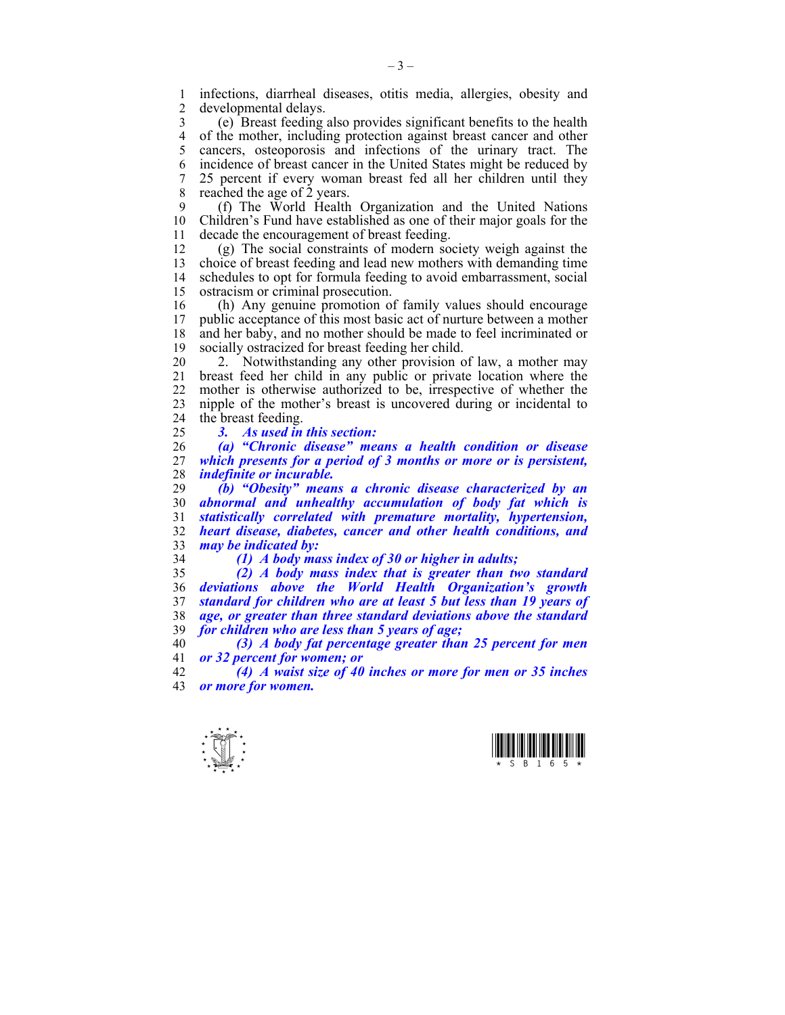1 infections, diarrheal diseases, otitis media, allergies, obesity and developmental delays.

3 (e) Breast feeding also provides significant benefits to the health 4 of the mother, including protection against breast cancer and other<br>5 cancers osteonorosis and infections of the urinary tract. The 5 cancers, osteoporosis and infections of the urinary tract. The 6 incidence of breast cancer in the United States might be reduced by 7 25 percent if every woman breast fed all her children until they 8 reached the age of  $\dot{2}$  years.

9 (f) The World Health Organization and the United Nations 10 Children's Fund have established as one of their major goals for the 11 decade the encouragement of breast feeding.

12 (g) The social constraints of modern society weigh against the 13 choice of breast feeding and lead new mothers with demanding time 14 schedules to opt for formula feeding to avoid embarrassment, social 15 ostracism or criminal prosecution.

16 (h) Any genuine promotion of family values should encourage<br>17 public acceptance of this most basic act of nurture between a mother public acceptance of this most basic act of nurture between a mother 18 and her baby, and no mother should be made to feel incriminated or 19 socially ostracized for breast feeding her child.

20 2. Notwithstanding any other provision of law, a mother may 21 breast feed her child in any public or private location where the 22 mother is otherwise authorized to be, irrespective of whether the 23 nipple of the mother's breast is uncovered during or incidental to 24 the breast feeding.

25 *3. As used in this section:* 

26 *(a) "Chronic disease" means a health condition or disease*  27 *which presents for a period of 3 months or more or is persistent,*  28 *indefinite or incurable.* 

*(b) "Obesity" means a chronic disease characterized by an abnormal and unhealthy accumulation of body fat which is statistically correlated with premature mortality, hypertension, heart disease, diabetes, cancer and other health conditions, and may be indicated by:* 

34 *(1) A body mass index of 30 or higher in adults;* 

*(2) A body mass index that is greater than two standard deviations above the World Health Organization's growth standard for children who are at least 5 but less than 19 years of age, or greater than three standard deviations above the standard for children who are less than 5 years of age;* 

40 *(3) A body fat percentage greater than 25 percent for men*  41 *or 32 percent for women; or* 

42 *(4) A waist size of 40 inches or more for men or 35 inches*  43 *or more for women.* 



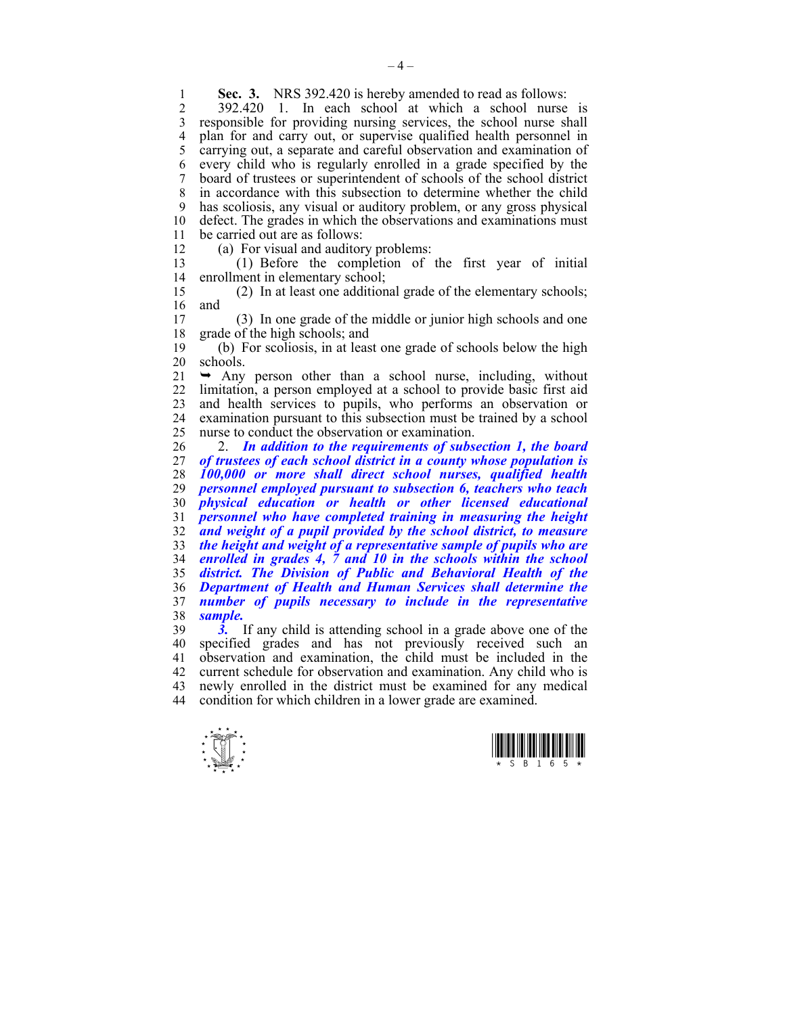**Sec. 3.** NRS 392.420 is hereby amended to read as follows:<br>2 392.420 1 In each school at which a school nurse

2 392.420 1. In each school at which a school nurse is 3 responsible for providing nursing services, the school nurse shall 4 plan for and carry out, or supervise qualified health personnel in<br>5 carrying out a separate and careful observation and examination of 5 carrying out, a separate and careful observation and examination of 6 every child who is regularly enrolled in a grade specified by the 7 board of trustees or superintendent of schools of the school district 8 in accordance with this subsection to determine whether the child 9 has scoliosis, any visual or auditory problem, or any gross physical 10 defect. The grades in which the observations and examinations must 11 be carried out are as follows:

12 (a) For visual and auditory problems:

13 (1) Before the completion of the first year of initial 14 enrollment in elementary school;

15 (2) In at least one additional grade of the elementary schools;  $\begin{bmatrix} 16 \\ 17 \end{bmatrix}$  and

17 (3) In one grade of the middle or junior high schools and one 18 grade of the high schools; and

19 (b) For scoliosis, in at least one grade of schools below the high 20 schools.

 $21 \rightarrow$  Any person other than a school nurse, including, without 22 limitation, a person employed at a school to provide basic first aid 23 and health services to pupils, who performs an observation or 24 examination pursuant to this subsection must be trained by a school 25 nurse to conduct the observation or examination.

26 2. *In addition to the requirements of subsection 1, the board of trustees of each school district in a county whose population is 100,000 or more shall direct school nurses, qualified health personnel employed pursuant to subsection 6, teachers who teach physical education or health or other licensed educational personnel who have completed training in measuring the height and weight of a pupil provided by the school district, to measure the height and weight of a representative sample of pupils who are enrolled in grades 4, 7 and 10 in the schools within the school district. The Division of Public and Behavioral Health of the Department of Health and Human Services shall determine the number of pupils necessary to include in the representative*  38 *sample.* 

39 *3.* If any child is attending school in a grade above one of the 40 specified grades and has not previously received such an 41 observation and examination, the child must be included in the 42 current schedule for observation and examination. Any child who is 43 newly enrolled in the district must be examined for any medical condition for which children in a lower grade are examined. condition for which children in a lower grade are examined.



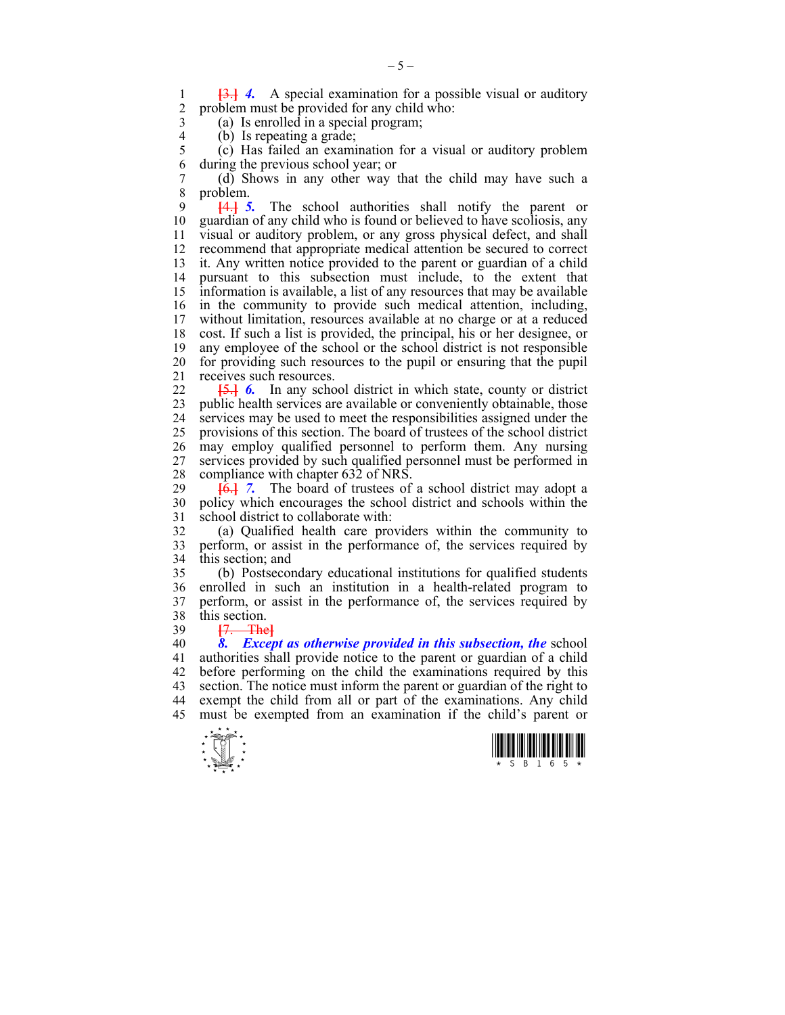1 **[3.] 4.** A special examination for a possible visual or auditory 2 problem must be provided for any child who: problem must be provided for any child who:

 $3$  (a) Is enrolled in a special program;<br>4 (b) Is repeating a grade:

4 (b) Is repeating a grade;<br>5 (c) Has failed an exami

 $(c)$  Has failed an examination for a visual or auditory problem 6 during the previous school year; or

7 (d) Shows in any other way that the child may have such a 8 problem.

9 **[**4.**]** *5.* The school authorities shall notify the parent or 10 guardian of any child who is found or believed to have scoliosis, any 11 visual or auditory problem, or any gross physical defect, and shall 12 recommend that appropriate medical attention be secured to correct 13 it. Any written notice provided to the parent or guardian of a child 14 pursuant to this subsection must include, to the extent that 15 information is available, a list of any resources that may be available 16 in the community to provide such medical attention, including, 17 without limitation, resources available at no charge or at a reduced 18 cost. If such a list is provided, the principal, his or her designee, or 19 any employee of the school or the school district is not responsible 20 for providing such resources to the pupil or ensuring that the pupil 21 receives such resources.

22 **[**5.**]** *6.* In any school district in which state, county or district 23 public health services are available or conveniently obtainable, those 24 services may be used to meet the responsibilities assigned under the 25 provisions of this section. The board of trustees of the school district 26 may employ qualified personnel to perform them. Any nursing 27 services provided by such qualified personnel must be performed in 28 compliance with chapter  $632$  of NRS.<br>29  $\overline{164}$  7. The board of trustees of

 $\overline{6}$ . The board of trustees of a school district may adopt a 30 policy which encourages the school district and schools within the 31 school district to collaborate with:

32 (a) Qualified health care providers within the community to 33 perform, or assist in the performance of, the services required by 34 this section; and

35 (b) Postsecondary educational institutions for qualified students 36 enrolled in such an institution in a health-related program to 37 perform, or assist in the performance of, the services required by 38 this section.

39 **[**7. The**]**

40 *8. Except as otherwise provided in this subsection, the* school 41 authorities shall provide notice to the parent or guardian of a child 42 before performing on the child the examinations required by this 43 section. The notice must inform the parent or guardian of the right to 44 exempt the child from all or part of the examinations. Any child 45 must be exempted from an examination if the child's parent or



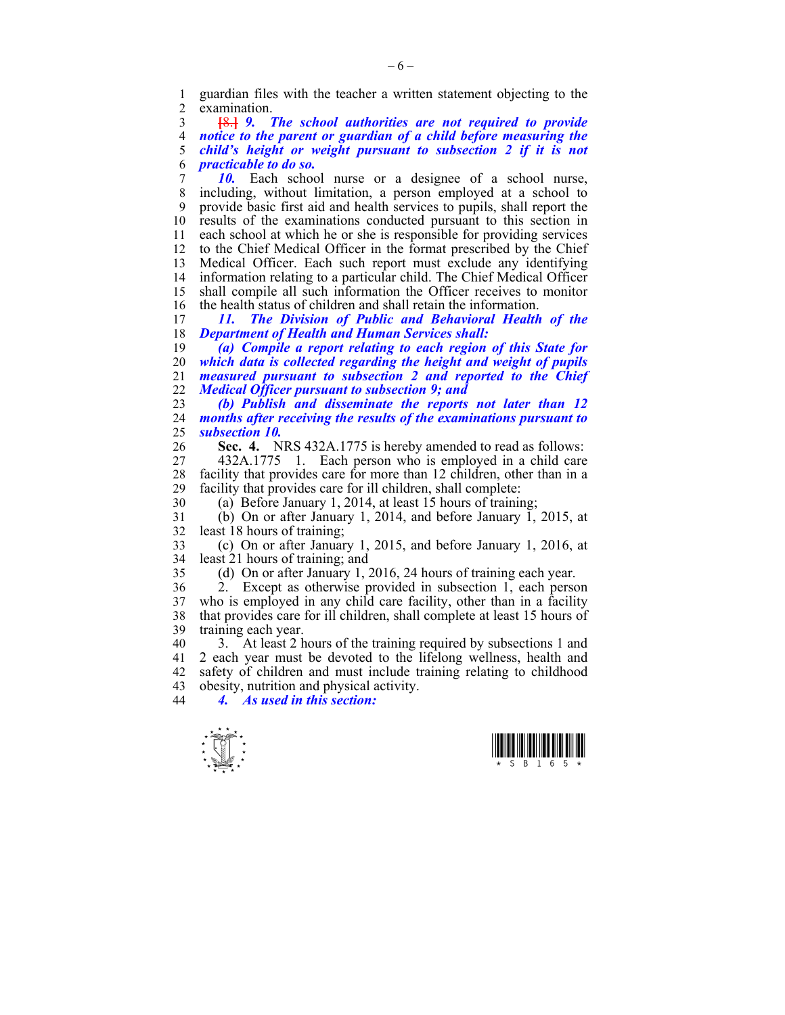1 guardian files with the teacher a written statement objecting to the examination.

**[**8.**]** *9. The school authorities are not required to provide notice to the parent or guardian of a child before measuring the child's height or weight pursuant to subsection 2 if it is not practicable to do so.* 

7 *10.* Each school nurse or a designee of a school nurse, 8 including, without limitation, a person employed at a school to 9 provide basic first aid and health services to pupils, shall report the 10 results of the examinations conducted pursuant to this section in 11 each school at which he or she is responsible for providing services 12 to the Chief Medical Officer in the format prescribed by the Chief 13 Medical Officer. Each such report must exclude any identifying 14 information relating to a particular child. The Chief Medical Officer 15 shall compile all such information the Officer receives to monitor 16 the health status of children and shall retain the information.<br>17 11. The Division of Public and Behavioral Health

17 *11. The Division of Public and Behavioral Health of the*  18 *Department of Health and Human Services shall:* 

*(a) Compile a report relating to each region of this State for which data is collected regarding the height and weight of pupils measured pursuant to subsection 2 and reported to the Chief Medical Officer pursuant to subsection 9; and* 

23 *(b) Publish and disseminate the reports not later than 12*  24 *months after receiving the results of the examinations pursuant to*  25 *subsection 10.* 

26 **Sec. 4.** NRS 432A.1775 is hereby amended to read as follows:

27 432A.1775 1. Each person who is employed in a child care 28 facility that provides care for more than 12 children, other than in a<br>29 facility that provides care for ill children, shall complete: facility that provides care for ill children, shall complete:

30 (a) Before January 1, 2014, at least 15 hours of training;

31 (b) On or after January 1, 2014, and before January 1, 2015, at 32 least 18 hours of training;

33 (c) On or after January 1, 2015, and before January 1, 2016, at 34 least 21 hours of training; and

35 (d) On or after January 1, 2016, 24 hours of training each year.

36 2. Except as otherwise provided in subsection 1, each person 37 who is employed in any child care facility, other than in a facility 38 that provides care for ill children, shall complete at least 15 hours of 38 that provides care for ill children, shall complete at least 15 hours of 39 training each year.

40 3. At least 2 hours of the training required by subsections 1 and 41 2 each year must be devoted to the lifelong wellness, health and 42 safety of children and must include training relating to childhood 43 obesity, nutrition and physical activity.<br>44  $\overline{4}$  As used in this section:

44 *4. As used in this section:* 



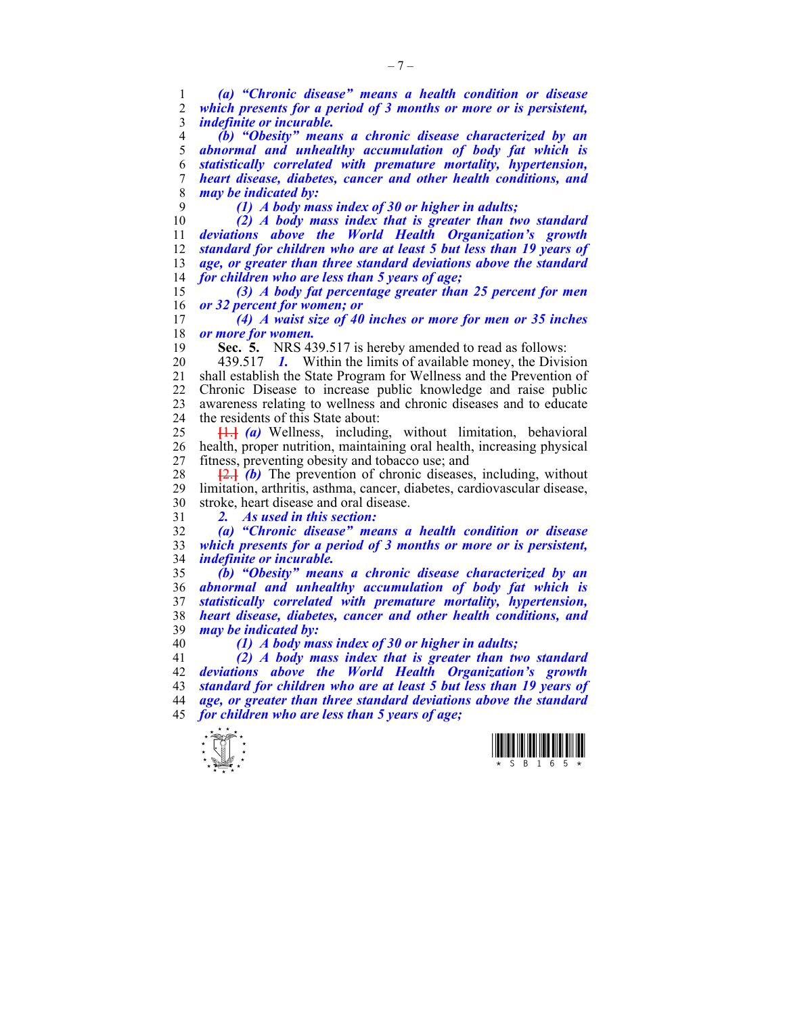*(a) "Chronic disease" means a health condition or disease which presents for a period of 3 months or more or is persistent, indefinite or incurable. (b) "Obesity" means a chronic disease characterized by an abnormal and unhealthy accumulation of body fat which is* 

*statistically correlated with premature mortality, hypertension, heart disease, diabetes, cancer and other health conditions, and may be indicated by:* 

*(1) A body mass index of 30 or higher in adults;* 

*(2) A body mass index that is greater than two standard deviations above the World Health Organization's growth standard for children who are at least 5 but less than 19 years of age, or greater than three standard deviations above the standard for children who are less than 5 years of age;* 

*(3) A body fat percentage greater than 25 percent for men or 32 percent for women; or* 

*(4) A waist size of 40 inches or more for men or 35 inches or more for women.* 

**Sec. 5.** NRS 439.517 is hereby amended to read as follows:

20 439.517 *1.* Within the limits of available money, the Division 21 shall establish the State Program for Wellness and the Prevention of 22 Chronic Disease to increase public knowledge and raise public 23 awareness relating to wellness and chronic diseases and to educate 24 the residents of this State about:

**[**1.**]** *(a)* Wellness, including, without limitation, behavioral 26 health, proper nutrition, maintaining oral health, increasing physical 27 fitness, preventing obesity and tobacco use; and

28  $\left[\frac{2}{3}\right]$ *(b)* The prevention of chronic diseases, including, without 29 limitation, arthritis, asthma, cancer, diabetes, cardiovascular disease. limitation, arthritis, asthma, cancer, diabetes, cardiovascular disease, 30 stroke, heart disease and oral disease.

*2. As used in this section:* 

*(a) "Chronic disease" means a health condition or disease which presents for a period of 3 months or more or is persistent, indefinite or incurable.* 

*(b) "Obesity" means a chronic disease characterized by an abnormal and unhealthy accumulation of body fat which is statistically correlated with premature mortality, hypertension, heart disease, diabetes, cancer and other health conditions, and may be indicated by:* 

*(1) A body mass index of 30 or higher in adults;* 

*(2) A body mass index that is greater than two standard deviations above the World Health Organization's growth standard for children who are at least 5 but less than 19 years of age, or greater than three standard deviations above the standard for children who are less than 5 years of age;* 



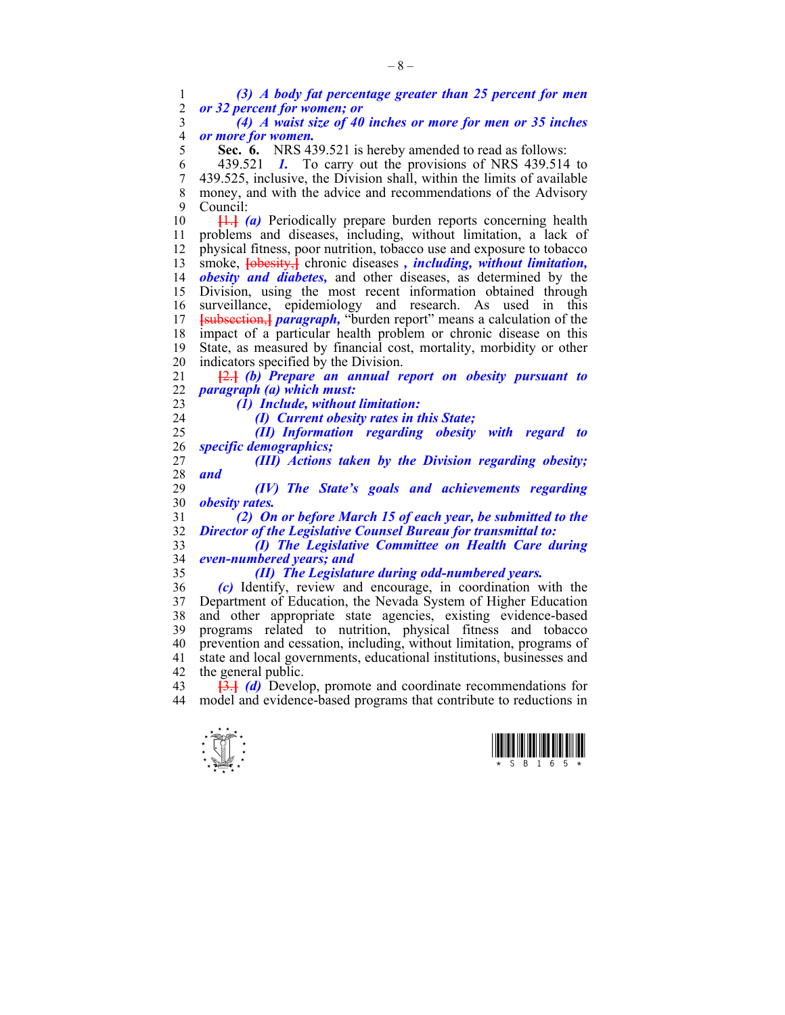1 *(3) A body fat percentage greater than 25 percent for men*  2 *or 32 percent for women; or* 

3 *(4) A waist size of 40 inches or more for men or 35 inches*  4 *or more for women.* 

5 **Sec. 6.** NRS 439.521 is hereby amended to read as follows:

6 439.521 *1.* To carry out the provisions of NRS 439.514 to 7 439.525, inclusive, the Division shall, within the limits of available 8 money, and with the advice and recommendations of the Advisory 9 Council:

10 **[**1.**]** *(a)* Periodically prepare burden reports concerning health 11 problems and diseases, including, without limitation, a lack of 12 physical fitness, poor nutrition, tobacco use and exposure to tobacco 13 smoke, **[**obesity,**]** chronic diseases *, including, without limitation,*  14 *obesity and diabetes,* and other diseases, as determined by the 15 Division, using the most recent information obtained through 16 surveillance, epidemiology and research. As used in this 17 **[**subsection,**]** *paragraph,* "burden report" means a calculation of the 18 impact of a particular health problem or chronic disease on this 19 State, as measured by financial cost, mortality, morbidity or other 20 indicators specified by the Division.

21 **[**2.**]** *(b) Prepare an annual report on obesity pursuant to*  22 *paragraph (a) which must:* 

23 *(1) Include, without limitation:* 

24 *(I) Current obesity rates in this State;* 

25 *(II) Information regarding obesity with regard to*  26 *specific demographics;* 

27 *(III) Actions taken by the Division regarding obesity;*  28 *and* 

29 *(IV) The State's goals and achievements regarding*  30 *obesity rates.* 

31 *(2) On or before March 15 of each year, be submitted to the*  32 *Director of the Legislative Counsel Bureau for transmittal to:* 

33 *(I) The Legislative Committee on Health Care during*  34 *even-numbered years; and* 

35 *(II) The Legislature during odd-numbered years.* 

36 *(c)* Identify, review and encourage, in coordination with the 37 Department of Education, the Nevada System of Higher Education 38 and other appropriate state agencies, existing evidence-based 39 programs related to nutrition, physical fitness and tobacco 40 prevention and cessation, including, without limitation, programs of 41 state and local governments, educational institutions, businesses and 42 the general public.

43 **[**3.**]** *(d)* Develop, promote and coordinate recommendations for 44 model and evidence-based programs that contribute to reductions in



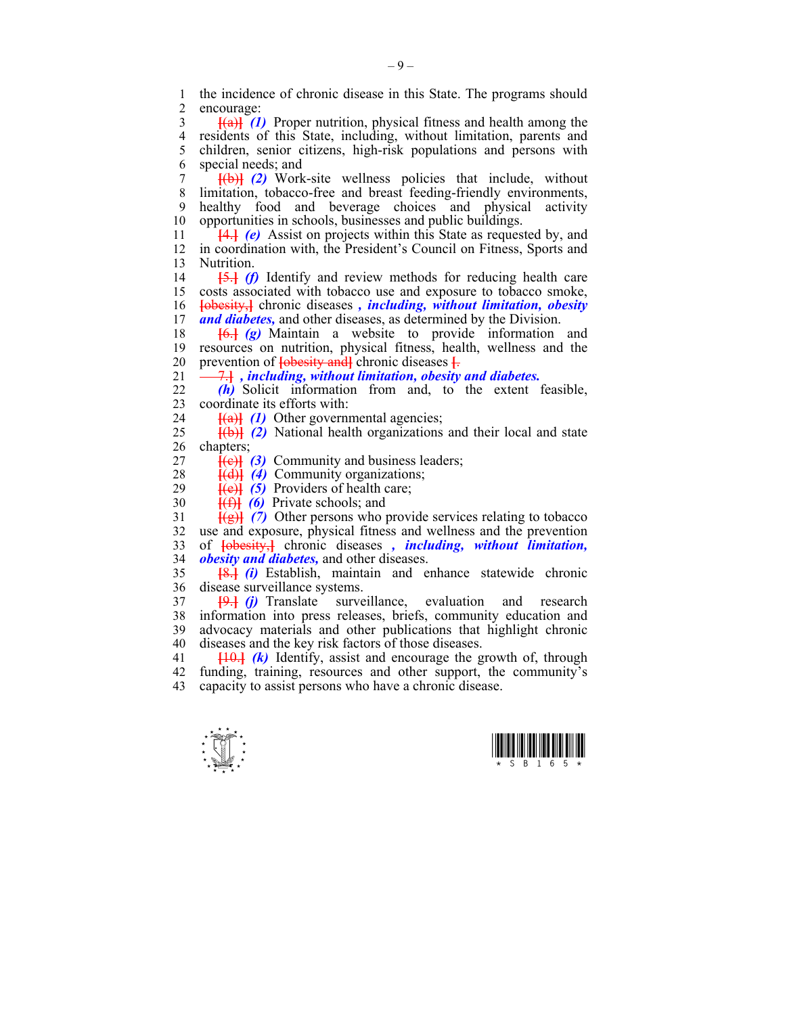1 the incidence of chronic disease in this State. The programs should<br>2 encourage: encourage:

3 **[**(a)**]** *(1)* Proper nutrition, physical fitness and health among the 4 residents of this State, including, without limitation, parents and 5 children, senior citizens, high-risk populations and persons with 5 children, senior citizens, high-risk populations and persons with 6 special needs; and

7 **[**(b)**]** *(2)* Work-site wellness policies that include, without 8 limitation, tobacco-free and breast feeding-friendly environments, 9 healthy food and beverage choices and physical activity 10 opportunities in schools, businesses and public buildings.

11 **[**4.**]** *(e)* Assist on projects within this State as requested by, and 12 in coordination with, the President's Council on Fitness, Sports and 13 Nutrition.

14 **[**5.**]** *(f)* Identify and review methods for reducing health care 15 costs associated with tobacco use and exposure to tobacco smoke, 16 **[**obesity,**]** chronic diseases *, including, without limitation, obesity and diabetes*, and other diseases, as determined by the Division.

18 **[**6.**]** *(g)* Maintain a website to provide information and 19 resources on nutrition, physical fitness, health, wellness and the 20 prevention of **[**obesity and**]** chronic diseases **[**.

21 7.**]** *, including, without limitation, obesity and diabetes.* 

22  $(h)$  Solicit information from and, to the extent feasible, coordinate its efforts with coordinate its efforts with:

24 **[**(a)**]** *(1)* Other governmental agencies;

25 **[**(b)**]** *(2)* National health organizations and their local and state 26 chapters;

 $27 \quad \text{[Fe]} \quad (3) \quad \text{Commuty and business leaders;}$ 

28 **[(d)]** *(4)* Community organizations;<br>29 **[(e)]** *(5)* Providers of health care:

 $\frac{\hat{f}(e)}{\hat{f}(f)}$  *(5)* Providers of health care;

30 **[**(f)**]** *(6)* Private schools; and

31 **[**(g)**]** *(7)* Other persons who provide services relating to tobacco 32 use and exposure, physical fitness and wellness and the prevention 33 of **[**obesity,**]** chronic diseases *, including, without limitation,*  34 *obesity and diabetes,* and other diseases.

35 **[**8.**]** *(i)* Establish, maintain and enhance statewide chronic 36 disease surveillance systems.

37 **[**9.**]** *(j)* Translate surveillance, evaluation and research 38 information into press releases, briefs, community education and 39 advocacy materials and other publications that highlight chronic 40 diseases and the key risk factors of those diseases.

41 **[**10.**]** *(k)* Identify, assist and encourage the growth of, through 42 funding, training, resources and other support, the community's 43 capacity to assist persons who have a chronic disease.